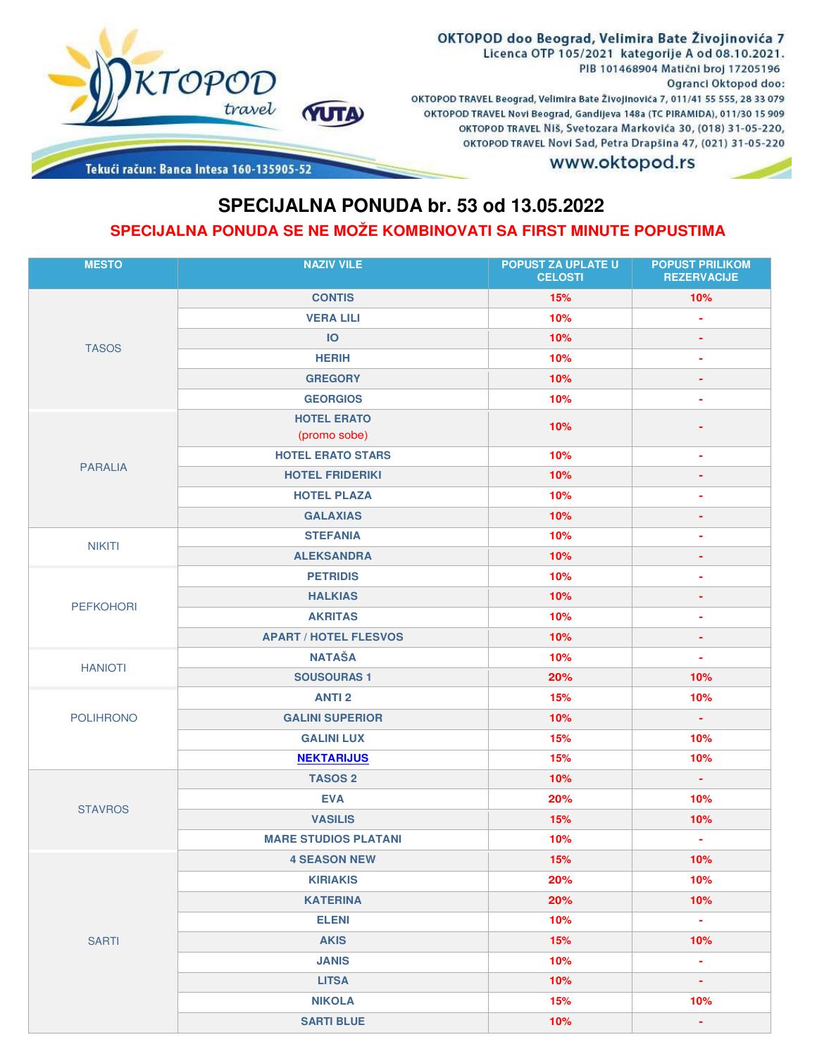

Tekući račun: Banca Intesa 160-135905-52

## **SPECIJALNA PONUDA br. 53 od 13.05.2022 SPECIJALNA PONUDA SE NE MOŽE KOMBINOVATI SA FIRST MINUTE POPUSTIMA**

| <b>MESTO</b>     | <b>NAZIV VILE</b>                  | <b>POPUST ZA UPLATE U</b><br><b>CELOSTI</b> | <b>POPUST PRILIKOM</b><br><b>REZERVACIJE</b> |
|------------------|------------------------------------|---------------------------------------------|----------------------------------------------|
| <b>TASOS</b>     | <b>CONTIS</b>                      | 15%                                         | 10%                                          |
|                  | <b>VERA LILI</b>                   | 10%                                         | ٠                                            |
|                  | IO                                 | 10%                                         | ۰                                            |
|                  | <b>HERIH</b>                       | 10%                                         | ۰                                            |
|                  | <b>GREGORY</b>                     | 10%                                         | ٠                                            |
|                  | <b>GEORGIOS</b>                    | 10%                                         | ٠                                            |
| <b>PARALIA</b>   | <b>HOTEL ERATO</b><br>(promo sobe) | 10%                                         |                                              |
|                  | <b>HOTEL ERATO STARS</b>           | 10%                                         | ٠                                            |
|                  | <b>HOTEL FRIDERIKI</b>             | 10%                                         | ٠                                            |
|                  | <b>HOTEL PLAZA</b>                 | 10%                                         | ٠                                            |
|                  | <b>GALAXIAS</b>                    | 10%                                         | ÷                                            |
| <b>NIKITI</b>    | <b>STEFANIA</b>                    | 10%                                         | ٠                                            |
|                  | <b>ALEKSANDRA</b>                  | 10%                                         | ٠                                            |
|                  | <b>PETRIDIS</b>                    | 10%                                         | ٠                                            |
| <b>PEFKOHORI</b> | <b>HALKIAS</b>                     | 10%                                         | ٠                                            |
|                  | <b>AKRITAS</b>                     | 10%                                         | ٠                                            |
|                  | <b>APART / HOTEL FLESVOS</b>       | 10%                                         | ÷                                            |
| <b>HANIOTI</b>   | <b>NATAŠA</b>                      | 10%                                         | ÷                                            |
|                  | <b>SOUSOURAS1</b>                  | 20%                                         | 10%                                          |
|                  | <b>ANTI 2</b>                      | 15%                                         | 10%                                          |
| <b>POLIHRONO</b> | <b>GALINI SUPERIOR</b>             | 10%                                         | $\sim$                                       |
|                  | <b>GALINI LUX</b>                  | 15%                                         | 10%                                          |
|                  | <b>NEKTARIJUS</b>                  | 15%                                         | 10%                                          |
|                  | <b>TASOS 2</b>                     | 10%                                         | ÷.                                           |
| <b>STAVROS</b>   | <b>EVA</b>                         | 20%                                         | 10%                                          |
|                  | <b>VASILIS</b>                     | 15%                                         | 10%                                          |
|                  | <b>MARE STUDIOS PLATANI</b>        | 10%                                         | ÷                                            |
|                  | <b>4 SEASON NEW</b>                | 15%                                         | 10%                                          |
|                  | <b>KIRIAKIS</b>                    | 20%                                         | 10%                                          |
|                  | <b>KATERINA</b>                    | 20%                                         | 10%                                          |
|                  | <b>ELENI</b>                       | 10%                                         | $\omega$                                     |
| <b>SARTI</b>     | <b>AKIS</b>                        | 15%                                         | 10%                                          |
|                  | <b>JANIS</b>                       | 10%                                         | $\mathcal{L}_{\mathcal{A}}$                  |
|                  | <b>LITSA</b>                       | 10%                                         | $\blacksquare$                               |
|                  | <b>NIKOLA</b>                      | 15%                                         | 10%                                          |
|                  | <b>SARTI BLUE</b>                  | 10%                                         | $\blacksquare$                               |